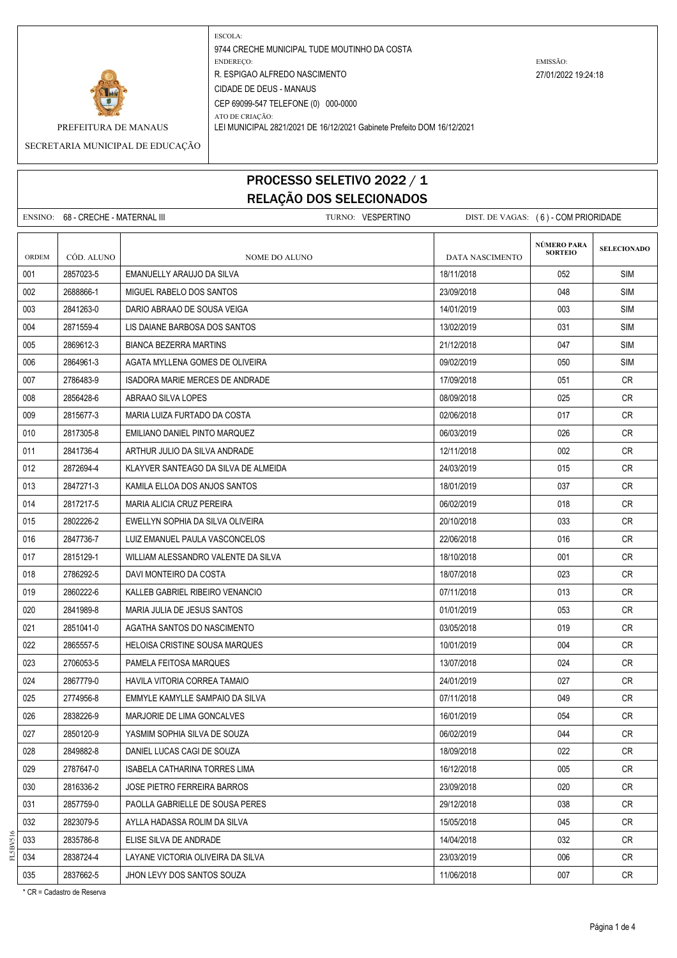

ATO DE CRIAÇÃO:

PREFEITURA DE MANAUS LEI MUNICIPAL 2821/2021 DE 16/12/2021 Gabinete Prefeito DOM 16/12/2021

SECRETARIA MUNICIPAL DE EDUCAÇÃO

## PROCESSO SELETIVO 2022 / 1 RELAÇÃO DOS SELECIONADOS

ENSINO: 68 - CRECHE - MATERNAL III TURNO: VESPERTINO DIST. DE VAGAS: (6) - COM PRIORIDADE **SELECIONADO** ORDEM CÓD. ALUNO **NOME DO ALUNO** NOME DO ALUNO DATA NASCIMENTO 001 2857023-5 EMANUELLY ARAUJO DA SILVA 18/11/2018 | 18/11/2018 | 052 | SIM 002 2688866-1 MIGUEL RABELO DOS SANTOS 23/09/2018 SIM 003 2841263-0 DARIO ABRAAO DE SOUSA VEIGA 14/01/2019 | 003 | SIM 004 2871559-4 LIS DAIANE BARBOSA DOS SANTOS 13 DE LA CONSTRUITION DE LA CONSTRUITION DE LA CONSTRUITION DE LA 005 2869612-3 BIANCA BEZERRA MARTINS 21/12/2018 21/12/2018 21/12/2018 047 SIM 006 2864961-3 AGATA MYLLENA GOMES DE OLIVEIRA 09/02/2019 SIM 007 2786483-9 ISADORA MARIE MERCES DE ANDRADE 17/09/2018 17/09/2018 051 O51 CR 008 | 2856428-6 | ABRAAO SILVA LOPES | 08/09/2018 CR 009 2815677-3 MARIA LUIZA FURTADO DA COSTA 02/06/2018 017 CR 010 2817305-8 EMILIANO DANIEL PINTO MARQUEZ 06/03/2019 026 CR 011 2841736-4 ARTHUR JULIO DA SILVA ANDRADE 12/11/2018 002 CR 012 2872694-4 KLAYVER SANTEAGO DA SILVA DE ALMEIDA 24/03/2019 015 CR 013 2847271-3 KAMILA ELLOA DOS ANJOS SANTOS 18/01/2019 | 18/01/2019 | 037 | CR 014 2817217-5 MARIA ALICIA CRUZ PEREIRA 06/02/2019 018 CR 015 2802226-2 EWELLYN SOPHIA DA SILVA OLIVEIRA 2002 - 2010/2018 | 20/10/2018 | 033 CR 016 2847736-7 LUIZ EMANUEL PAULA VASCONCELOS 22/06/2018 CR 017 2815129-1 WILLIAM ALESSANDRO VALENTE DA SILVA 18/10/2018 | 18/10/2018 | 001 | CR 018 2786292-5 DAVI MONTEIRO DA COSTA 18/07/2018 2010 18/07/2018 23 CR 019 2860222-6 KALLEB GABRIEL RIBEIRO VENANCIO 07/11/2018 013 CR 020 2841989-8 MARIA JULIA DE JESUS SANTOS 01/01/2019 053 CR 021 2851041-0 AGATHA SANTOS DO NASCIMENTO 03/05/2018 019 CR 022 2865557-5 HELOISA CRISTINE SOUSA MARQUES 1000 1001/2019 10/01/2019 1004 CR 023 2706053-5 PAMELA FEITOSA MARQUES 13/07/2018 CR 024 2867779-0 HAVILA VITORIA CORREA TAMAIO 2002 24/01/2019 - 24/01/2019 027 CR 025 2774956-8 EMMYLE KAMYLLE SAMPAIO DA SILVA 07/11/2018 049 CR 026 2838226-9 MARJORIE DE LIMA GONCALVES 16/01/2019 054 CR 027 2850120-9 YASMIM SOPHIA SILVA DE SOUZA 06/02/2019 044 CR 028 2849882-8 DANIEL LUCAS CAGI DE SOUZA 18/09/2018 18/09/2018 022 CR 029 2787647-0 ISABELA CATHARINA TORRES LIMA 16/12 16/12/2018 16/12/2018 005 CR 030 2816336-2 JOSE PIETRO FERREIRA BARROS 23/09/2018 23/09/2018 23/09/2018 020 CR 031 2857759-0 PAOLLA GABRIELLE DE SOUSA PERES 29/12/2018 CR 032 2823079-5 AYLLA HADASSA ROLIM DA SILVA 1505/2018 | 15/05/2018 | 045 | CR 033 2835786-8 ELISE SILVA DE ANDRADE 14/04/2018 CR 034 2838724-4 LAYANE VICTORIA OLIVEIRA DA SILVA 23/03/2019 | 23/03/2019 | 006 | CR 035 2837662-5 JJHON LEVY DOS SANTOS SOUZA 11/06/2018 11/06/2018 007 CR **NÚMERO PARA SORTEIO**

\* CR = Cadastro de Reserva

FL5BV516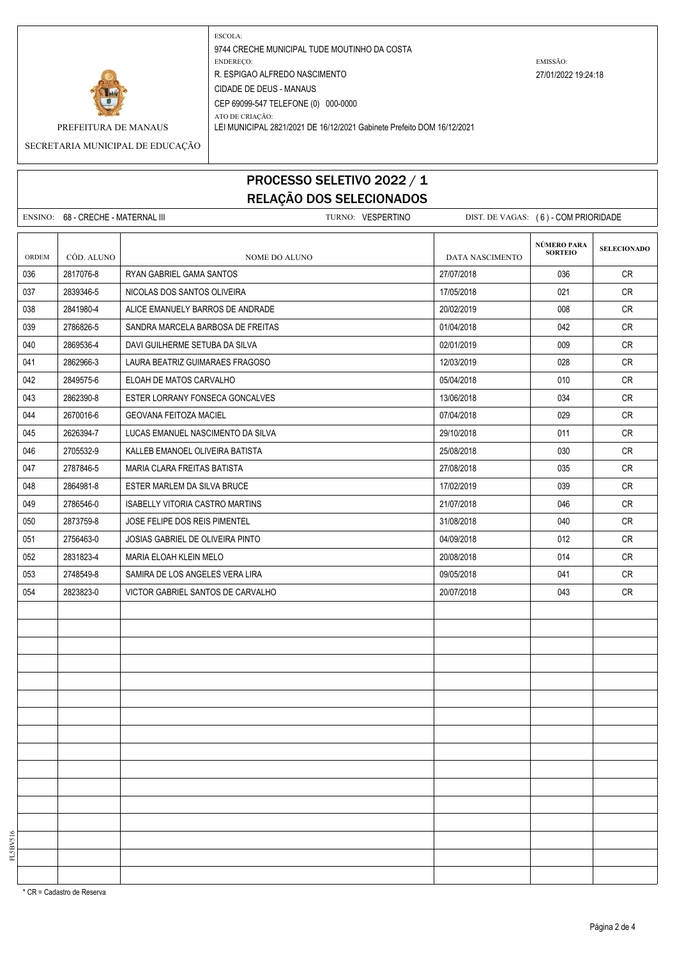

ATO DE CRIAÇÃO:

PREFEITURA DE MANAUS LEI MUNICIPAL 2821/2021 DE 16/12/2021 Gabinete Prefeito DOM 16/12/2021

SECRETARIA MUNICIPAL DE EDUCAÇÃO

## PROCESSO SELETIVO 2022 / 1 RELAÇÃO DOS SELECIONADOS

ENSINO: 68 - CRECHE - MATERNAL III TURNO: VESPERTINO DIST. DE VAGAS: (6) - COM PRIORIDADE **SELECIONADO** ORDEM CÓD. ALUNO | NOME DO ALUNO | DATA NASCIMENTO 036 2817076-8 RYAN GABRIEL GAMA SANTOS 27/07/2018 036 CR 037 2839346-5 NICOLAS DOS SANTOS OLIVEIRA 17 17/05/2018 17/05/2018 021 CR 038 2841980-4 ALICE EMANUELY BARROS DE ANDRADE 20/02/2019 20/02/2019 20/02/2019 008 CR 039 2786826-5 SANDRA MARCELA BARBOSA DE FREITAS 01/04/2018 042 CR 040 2869536-4 DAVI GUILHERME SETUBA DA SILVA 02/01/2019 009 CR 041 2862966-3 LAURA BEATRIZ GUIMARAES FRAGOSO 12/03/2019 028 CR 042 2849575-6 ELOAH DE MATOS CARVALHO 05/04/2018 010 CR 043 2862390-8 ESTER LORRANY FONSECA GONCALVES 13/06/2018 034 CR 044 2670016-6 GEOVANA FEITOZA MACIEL 07/04/2018 029 CR 045 2626394-7 LUCAS EMANUEL NASCIMENTO DA SILVA 29/10/2018 29/10/2018 29/10/2018 011 CR 046 2705532-9 KALLEB EMANOEL OLIVEIRA BATISTA 25/08/2018 030 CR 047 2787846-5 MARIA CLARA FREITAS BATISTA 27/08/2018 035 CR 048 2864981-8 ESTER MARLEM DA SILVA BRUCE 17/02/2019 039 CR 049 2786546-0 ISABELLY VITORIA CASTRO MARTINS 21/07/2018 21/07/2018 21/07/2018 21/07/2018 050 2873759-8 JOSE FELIPE DOS REIS PIMENTEL CONTROL 21/08/2018 31/08/2018 040 CR 051 2756463-0 JOSIAS GABRIEL DE OLIVEIRA PINTO 04/09/2018 012 CR 052 2831823-4 MARIA ELOAH KLEIN MELO 2008/2018 20/08/2018 12:00/08/2018 014 CR 053 2748549-8 SAMIRA DE LOS ANGELES VERA LIRA 09/05/2018 041 CR 054 2823823-0 VICTOR GABRIEL SANTOS DE CARVALHO 20/07/2018 20/07/2018 043 CR **NÚMERO PARA SORTEIO**

FL5BV516

\* CR = Cadastro de Reserva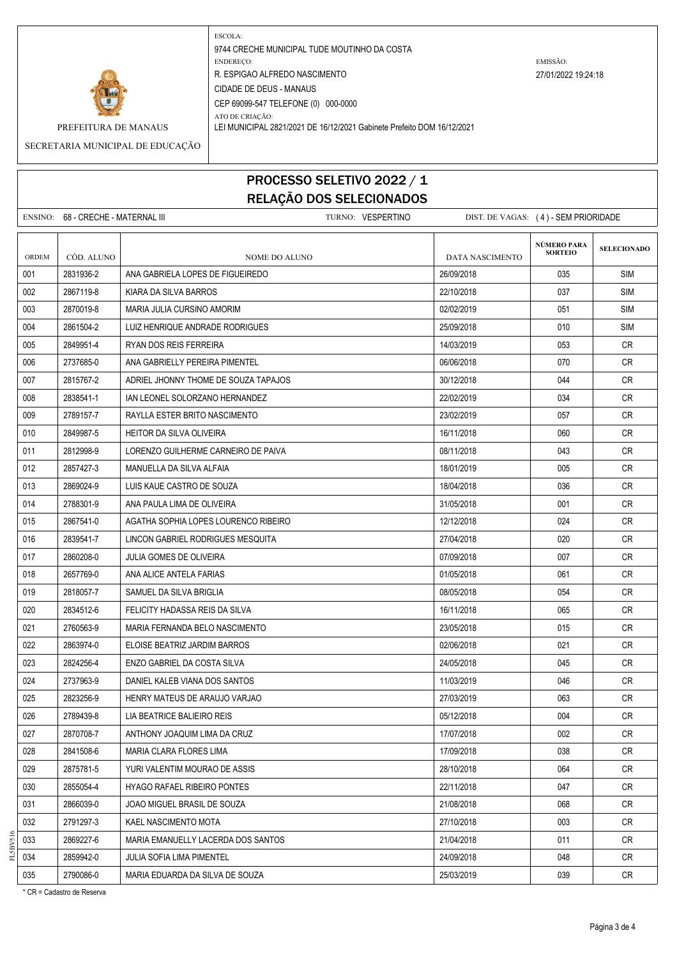

ATO DE CRIAÇÃO:

PREFEITURA DE MANAUS LEI MUNICIPAL 2821/2021 DE 16/12/2021 Gabinete Prefeito DOM 16/12/2021

SECRETARIA MUNICIPAL DE EDUCAÇÃO

## PROCESSO SELETIVO 2022 / 1 RELAÇÃO DOS SELECIONADOS

ENSINO: 68 - CRECHE - MATERNAL III TURNO: VESPERTINO DIST. DE VAGAS: (4) - SEM PRIORIDADE **SELECIONADO** ORDEM CÓD. ALUNO **NOME DO ALUNO** NOME DO ALUNO DATA NASCIMENTO 001 2831936-2 ANA GABRIELA LOPES DE FIGUEIREDO 26/09/2018 035 SIM 002 2867119-8 KIARA DA SILVA BARROS 22/10/2018 037 SIM 003 2870019-8 MARIA JULIA CURSINO AMORIM 02/02/2019 051 SIM 004 2861504-2 LUIZ HENRIQUE ANDRADE RODRIGUES 25/09/2018 25/09/2018 010 SIM 005 2849951-4 RYAN DOS REIS FERREIRA 14/03/2019 14/03/2019 153 CR 006 2737685-0 ANA GABRIELLY PEREIRA PIMENTEL 06/06/2018 CR 007 2815767-2 ADRIEL JHONNY THOME DE SOUZA TAPAJOS 30/12/2018 30/12/2018 044 CR 008 2838541-1 IAN LEONEL SOLORZANO HERNANDEZ 2000/2019 22/02/2019 2010 2010 134 CR 009 2789157-7 RAYLLA ESTER BRITO NASCIMENTO 23/02/2019 23/02/2019 23/02/2019 23/02 010 2849987-5 HEITOR DA SILVA OLIVEIRA 1600 1 16/11/2018 | 060 | CR 011 2812998-9 LORENZO GUILHERME CARNEIRO DE PAIVA 08/11/2018 043 CR 012 2857427-3 | MANUELLA DA SILVA ALFAIA 18/01 18/01/2019 | 18/01/2019 | 18/01/2019 | 18/01/2019 | CR 013 2869024-9 LUIS KAUE CASTRO DE SOUZA 18/04/2018 CR 014 2788301-9 ANA PAULA LIMA DE OLIVEIRA 31/05/2018 001 CR 015 2867541-0 AGATHA SOPHIA LOPES LOURENCO RIBEIRO 12/12/2018 12/12/2018 12/12 016 2839541-7 LINCON GABRIEL RODRIGUES MESQUITA 27/04/2018 27/04/2018 2020 CR 017 2860208-0 JULIA GOMES DE OLIVEIRA 07/09/2018 007 CR 018 2657769-0 ANA ALICE ANTELA FARIAS 01/05/2018 061 CR 019 2818057-7 SAMUEL DA SILVA BRIGLIA 08/05/2018 054 CR 020 2834512-6 FELICITY HADASSA REIS DA SILVA 16/11/2018 | 16/11/2018 | 065 | CR 021 2760563-9 MARIA FERNANDA BELO NASCIMENTO 23/05/2018 015 CR 022 2863974-0 ELOISE BEATRIZ JARDIM BARROS 02/06/2018 021 CR 023 2824256-4 ENZO GABRIEL DA COSTA SILVA 24/05/2018 CR 024 2737963-9 DANIEL KALEB VIANA DOS SANTOS 11/03/2019 11/03/2019 11/03/2019 046 CR 025 2823256-9 HENRY MATEUS DE ARAUJO VARJAO 27 27/03/2019 27/03/2019 2823256-9 KR 026 2789439-8 LIA BEATRICE BALIEIRO REIS 05/12/2018 004 CR 027 2870708-7 ANTHONY JOAQUIM LIMA DA CRUZ 17/07/2018 17/07/2018 002 CR 028 2841508-6 MARIA CLARA FLORES LIMA 17/09/2018 17/09/2018 19:038 CR 029 2875781-5 YURI VALENTIM MOURAO DE ASSIS 28/10/2018 | 28/10/2018 | GAL | CR 030 2855054-4 HYAGO RAFAEL RIBEIRO PONTES 22/11/2018 CR 031 2866039-0 JOAO MIGUEL BRASIL DE SOUZA 21/08/2018 CR 032 2791297-3 KAEL NASCIMENTO MOTA 27/10/2018 27/10/2018 003 CR 033 2869227-6 MARIA EMANUELLY LACERDA DOS SANTOS 21/04/2018 CR 034 2859942-0 JULIA SOFIA LIMA PIMENTEL 2000/2018 | 24/09/2018 | 048 CR 035 2790086-0 MARIA EDUARDA DA SILVA DE SOUZA 25/03/2019 | 039 | CR **NÚMERO PARA SORTEIO**

\* CR = Cadastro de Reserva

FL5BV516